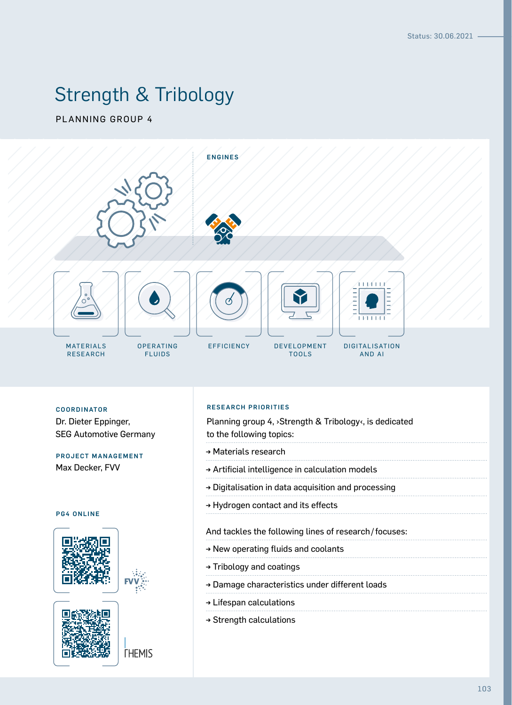# Strength & Tribology

PLANNING GROUP 4



COORDINATOR **PRIORITIES COORDINATOR** Dr. Dieter Eppinger, SEG Automotive Germany

# PROJECT MANAGEMENT Max Decker, FVV

# PG4 ONLINE





**THEMIS** 

|  | RESEARCH PRIORITIES |  |  |  |
|--|---------------------|--|--|--|
|  |                     |  |  |  |

Planning group 4, ›Strength & Tribology‹, is dedicated to the following topics:

- → Materials research
- → Artificial intelligence in calculation models
- → Digitalisation in data acquisition and processing
- → Hydrogen contact and its effects

## And tackles the following lines of research/focuses:

- → New operating fluids and coolants
- → Tribology and coatings
- → Damage characteristics under different loads
- → Lifespan calculations
- → Strength calculations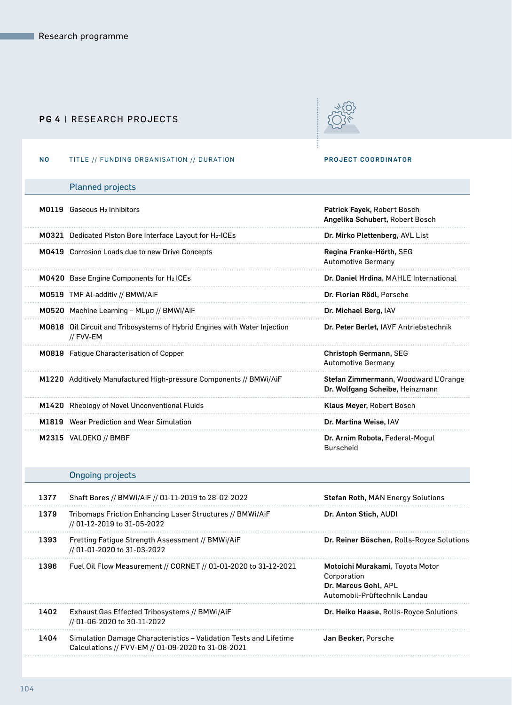# PG 4 | RESEARCH PROJECTS



# NO TITLE // FUNDING ORGANISATION // DURATION PROJECT COORDINATOR

|      | <b>Planned projects</b>                                                                  |                                                                                                        |
|------|------------------------------------------------------------------------------------------|--------------------------------------------------------------------------------------------------------|
|      | M0119 Gaseous H <sub>2</sub> Inhibitors                                                  | Patrick Fayek, Robert Bosch<br>Angelika Schubert, Robert Bosch                                         |
|      | M0321 Dedicated Piston Bore Interface Layout for H <sub>2</sub> -ICEs                    | Dr. Mirko Plettenberg, AVL List                                                                        |
|      | <b>M0419</b> Corrosion Loads due to new Drive Concepts                                   | Regina Franke-Hörth, SEG<br><b>Automotive Germany</b>                                                  |
|      | <b>M0420</b> Base Engine Components for H <sub>2</sub> ICEs                              | Dr. Daniel Hrdina, MAHLE International                                                                 |
|      | M0519 TMF Al-additiv // BMWi/AiF                                                         | Dr. Florian Rödl, Porsche                                                                              |
|      | M0520 Machine Learning - ΜLμσ // BMWi/AiF                                                | Dr. Michael Berg, IAV                                                                                  |
|      | M0618 Oil Circuit and Tribosystems of Hybrid Engines with Water Injection<br>// FVV-EM   | Dr. Peter Berlet, IAVF Antriebstechnik                                                                 |
|      | <b>M0819</b> Fatigue Characterisation of Copper                                          | Christoph Germann, SEG<br><b>Automotive Germany</b>                                                    |
|      | M1220 Additively Manufactured High-pressure Components // BMWi/AiF                       | Stefan Zimmermann, Woodward L'Orange<br>Dr. Wolfgang Scheibe, Heinzmann                                |
|      | M1420 Rheology of Novel Unconventional Fluids                                            | Klaus Meyer, Robert Bosch                                                                              |
|      | <b>M1819</b> Wear Prediction and Wear Simulation                                         | Dr. Martina Weise, IAV                                                                                 |
|      | M2315 VALOEKO // BMBF                                                                    | Dr. Arnim Robota, Federal-Mogul<br><b>Burscheid</b>                                                    |
|      | <b>Ongoing projects</b>                                                                  |                                                                                                        |
| 1377 | Shaft Bores // BMWi/AiF // 01-11-2019 to 28-02-2022                                      | <b>Stefan Roth, MAN Energy Solutions</b>                                                               |
| 1379 | Tribomaps Friction Enhancing Laser Structures // BMWi/AiF<br>// 01-12-2019 to 31-05-2022 | Dr. Anton Stich, AUDI                                                                                  |
| 1393 | Fretting Fatigue Strength Assessment // BMWi/AiF<br>// 01-01-2020 to 31-03-2022          | Dr. Reiner Böschen, Rolls-Royce Solutions                                                              |
| 1396 | Fuel Oil Flow Measurement // CORNET // 01-01-2020 to 31-12-2021                          | Motoichi Murakami, Toyota Motor<br>Corporation<br>Dr. Marcus Gohl, APL<br>Automobil-Prüftechnik Landau |
| 1402 | Exhaust Gas Effected Tribosystems // BMWi/AiF<br>// 01-06-2020 to 30-11-2022             | Dr. Heiko Haase, Rolls-Royce Solutions                                                                 |
| 1404 | Simulation Damage Characteristics - Validation Tests and Lifetime                        | Jan Becker, Porsche                                                                                    |